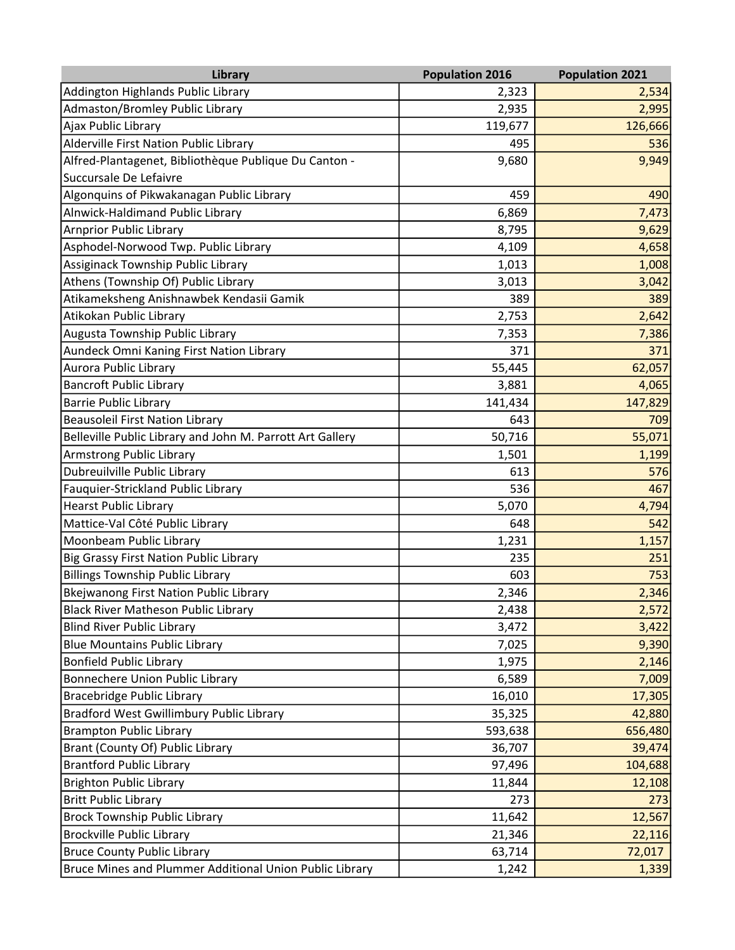| Library                                                   | <b>Population 2016</b> | <b>Population 2021</b> |
|-----------------------------------------------------------|------------------------|------------------------|
| Addington Highlands Public Library                        | 2,323                  | 2,534                  |
| Admaston/Bromley Public Library                           | 2,935                  | 2,995                  |
| Ajax Public Library                                       | 119,677                | 126,666                |
| Alderville First Nation Public Library                    | 495                    | 536                    |
| Alfred-Plantagenet, Bibliothèque Publique Du Canton -     | 9,680                  | 9,949                  |
| Succursale De Lefaivre                                    |                        |                        |
| Algonquins of Pikwakanagan Public Library                 | 459                    | 490                    |
| Alnwick-Haldimand Public Library                          | 6,869                  | 7,473                  |
| <b>Arnprior Public Library</b>                            | 8,795                  | 9,629                  |
| Asphodel-Norwood Twp. Public Library                      | 4,109                  | 4,658                  |
| Assiginack Township Public Library                        | 1,013                  | 1,008                  |
| Athens (Township Of) Public Library                       | 3,013                  | 3,042                  |
| Atikameksheng Anishnawbek Kendasii Gamik                  | 389                    | 389                    |
| Atikokan Public Library                                   | 2,753                  | 2,642                  |
| Augusta Township Public Library                           | 7,353                  | 7,386                  |
| Aundeck Omni Kaning First Nation Library                  | 371                    | 371                    |
| Aurora Public Library                                     | 55,445                 | 62,057                 |
| <b>Bancroft Public Library</b>                            | 3,881                  | 4,065                  |
| <b>Barrie Public Library</b>                              | 141,434                | 147,829                |
| <b>Beausoleil First Nation Library</b>                    | 643                    | 709                    |
| Belleville Public Library and John M. Parrott Art Gallery | 50,716                 | 55,071                 |
| <b>Armstrong Public Library</b>                           | 1,501                  | 1,199                  |
| Dubreuilville Public Library                              | 613                    | 576                    |
| Fauquier-Strickland Public Library                        | 536                    | 467                    |
| <b>Hearst Public Library</b>                              | 5,070                  | 4,794                  |
| Mattice-Val Côté Public Library                           | 648                    | 542                    |
| Moonbeam Public Library                                   | 1,231                  | 1,157                  |
| <b>Big Grassy First Nation Public Library</b>             | 235                    | 251                    |
| <b>Billings Township Public Library</b>                   | 603                    | 753                    |
| <b>Bkejwanong First Nation Public Library</b>             | 2,346                  | 2,346                  |
| <b>Black River Matheson Public Library</b>                | 2,438                  | 2,572                  |
| <b>Blind River Public Library</b>                         | 3,472                  | 3,422                  |
| <b>Blue Mountains Public Library</b>                      | 7,025                  | 9,390                  |
| <b>Bonfield Public Library</b>                            | 1,975                  | 2,146                  |
| Bonnechere Union Public Library                           | 6,589                  | 7,009                  |
| <b>Bracebridge Public Library</b>                         | 16,010                 | 17,305                 |
| Bradford West Gwillimbury Public Library                  | 35,325                 | 42,880                 |
| <b>Brampton Public Library</b>                            | 593,638                | 656,480                |
| Brant (County Of) Public Library                          | 36,707                 | 39,474                 |
| <b>Brantford Public Library</b>                           | 97,496                 | 104,688                |
| <b>Brighton Public Library</b>                            | 11,844                 | 12,108                 |
| <b>Britt Public Library</b>                               | 273                    | 273                    |
| <b>Brock Township Public Library</b>                      | 11,642                 | 12,567                 |
| <b>Brockville Public Library</b>                          | 21,346                 | 22,116                 |
| <b>Bruce County Public Library</b>                        | 63,714                 | 72,017                 |
| Bruce Mines and Plummer Additional Union Public Library   | 1,242                  | 1,339                  |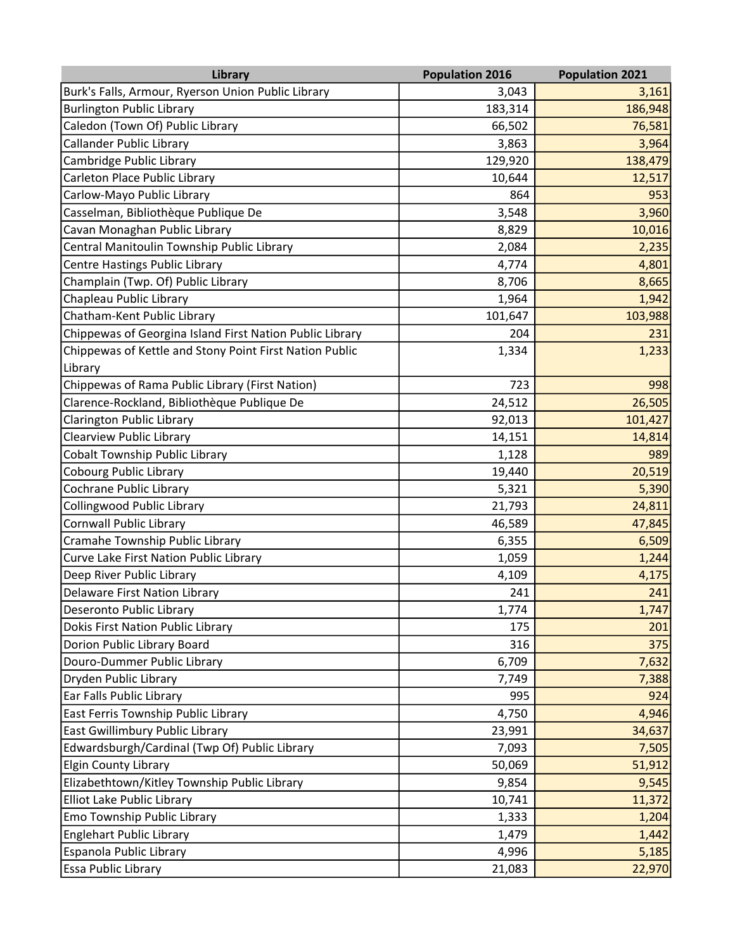| Library                                                  | <b>Population 2016</b> | <b>Population 2021</b> |
|----------------------------------------------------------|------------------------|------------------------|
| Burk's Falls, Armour, Ryerson Union Public Library       | 3,043                  | 3,161                  |
| <b>Burlington Public Library</b>                         | 183,314                | 186,948                |
| Caledon (Town Of) Public Library                         | 66,502                 | 76,581                 |
| Callander Public Library                                 | 3,863                  | 3,964                  |
| Cambridge Public Library                                 | 129,920                | 138,479                |
| Carleton Place Public Library                            | 10,644                 | 12,517                 |
| Carlow-Mayo Public Library                               | 864                    | 953                    |
| Casselman, Bibliothèque Publique De                      | 3,548                  | 3,960                  |
| Cavan Monaghan Public Library                            | 8,829                  | 10,016                 |
| Central Manitoulin Township Public Library               | 2,084                  | 2,235                  |
| Centre Hastings Public Library                           | 4,774                  | 4,801                  |
| Champlain (Twp. Of) Public Library                       | 8,706                  | 8,665                  |
| Chapleau Public Library                                  | 1,964                  | 1,942                  |
| Chatham-Kent Public Library                              | 101,647                | 103,988                |
| Chippewas of Georgina Island First Nation Public Library | 204                    | 231                    |
| Chippewas of Kettle and Stony Point First Nation Public  | 1,334                  | 1,233                  |
| Library                                                  |                        |                        |
| Chippewas of Rama Public Library (First Nation)          | 723                    | 998                    |
| Clarence-Rockland, Bibliothèque Publique De              | 24,512                 | 26,505                 |
| Clarington Public Library                                | 92,013                 | 101,427                |
| <b>Clearview Public Library</b>                          | 14,151                 | 14,814                 |
| Cobalt Township Public Library                           | 1,128                  | 989                    |
| Cobourg Public Library                                   | 19,440                 | 20,519                 |
| Cochrane Public Library                                  | 5,321                  | 5,390                  |
| Collingwood Public Library                               | 21,793                 | 24,811                 |
| <b>Cornwall Public Library</b>                           | 46,589                 | 47,845                 |
| Cramahe Township Public Library                          | 6,355                  | 6,509                  |
| Curve Lake First Nation Public Library                   | 1,059                  | 1,244                  |
| Deep River Public Library                                | 4,109                  | 4,175                  |
| Delaware First Nation Library                            | 241                    | 241                    |
| Deseronto Public Library                                 | 1,774                  | 1,747                  |
| <b>Dokis First Nation Public Library</b>                 | 175                    | 201                    |
| Dorion Public Library Board                              | 316                    | 375                    |
| Douro-Dummer Public Library                              | 6,709                  | 7,632                  |
| Dryden Public Library                                    | 7,749                  | 7,388                  |
| Ear Falls Public Library                                 | 995                    | 924                    |
| East Ferris Township Public Library                      | 4,750                  | 4,946                  |
| East Gwillimbury Public Library                          | 23,991                 | 34,637                 |
| Edwardsburgh/Cardinal (Twp Of) Public Library            | 7,093                  | 7,505                  |
| <b>Elgin County Library</b>                              | 50,069                 | 51,912                 |
| Elizabethtown/Kitley Township Public Library             | 9,854                  | 9,545                  |
| Elliot Lake Public Library                               | 10,741                 | 11,372                 |
| Emo Township Public Library                              | 1,333                  | 1,204                  |
| <b>Englehart Public Library</b>                          | 1,479                  | 1,442                  |
| Espanola Public Library                                  | 4,996                  | 5,185                  |
| Essa Public Library                                      | 21,083                 | 22,970                 |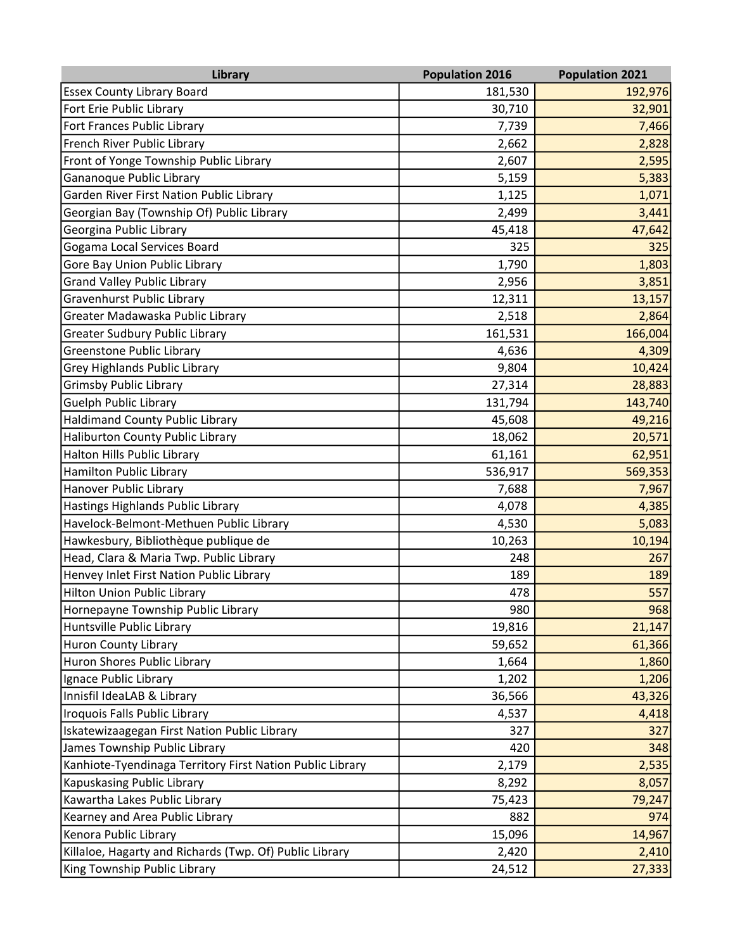| Library                                                   | <b>Population 2016</b> | <b>Population 2021</b> |
|-----------------------------------------------------------|------------------------|------------------------|
| <b>Essex County Library Board</b>                         | 181,530                | 192,976                |
| Fort Erie Public Library                                  | 30,710                 | 32,901                 |
| Fort Frances Public Library                               | 7,739                  | 7,466                  |
| French River Public Library                               | 2,662                  | 2,828                  |
| Front of Yonge Township Public Library                    | 2,607                  | 2,595                  |
| Gananoque Public Library                                  | 5,159                  | 5,383                  |
| Garden River First Nation Public Library                  | 1,125                  | 1,071                  |
| Georgian Bay (Township Of) Public Library                 | 2,499                  | 3,441                  |
| Georgina Public Library                                   | 45,418                 | 47,642                 |
| Gogama Local Services Board                               | 325                    | 325                    |
| Gore Bay Union Public Library                             | 1,790                  | 1,803                  |
| <b>Grand Valley Public Library</b>                        | 2,956                  | 3,851                  |
| Gravenhurst Public Library                                | 12,311                 | 13,157                 |
| Greater Madawaska Public Library                          | 2,518                  | 2,864                  |
| <b>Greater Sudbury Public Library</b>                     | 161,531                | 166,004                |
| Greenstone Public Library                                 | 4,636                  | 4,309                  |
| Grey Highlands Public Library                             | 9,804                  | 10,424                 |
| <b>Grimsby Public Library</b>                             | 27,314                 | 28,883                 |
| <b>Guelph Public Library</b>                              | 131,794                | 143,740                |
| <b>Haldimand County Public Library</b>                    | 45,608                 | 49,216                 |
| <b>Haliburton County Public Library</b>                   | 18,062                 | 20,571                 |
| <b>Halton Hills Public Library</b>                        | 61,161                 | 62,951                 |
| <b>Hamilton Public Library</b>                            | 536,917                | 569,353                |
| Hanover Public Library                                    | 7,688                  | 7,967                  |
| Hastings Highlands Public Library                         | 4,078                  | 4,385                  |
| Havelock-Belmont-Methuen Public Library                   | 4,530                  | 5,083                  |
| Hawkesbury, Bibliothèque publique de                      | 10,263                 | 10,194                 |
| Head, Clara & Maria Twp. Public Library                   | 248                    | 267                    |
| Henvey Inlet First Nation Public Library                  | 189                    | 189                    |
| <b>Hilton Union Public Library</b>                        | 478                    | 557                    |
| Hornepayne Township Public Library                        | 980                    | 968                    |
| Huntsville Public Library                                 | 19,816                 | 21,147                 |
| <b>Huron County Library</b>                               | 59,652                 | 61,366                 |
| Huron Shores Public Library                               | 1,664                  | 1,860                  |
| Ignace Public Library                                     | 1,202                  | 1,206                  |
| Innisfil IdeaLAB & Library                                | 36,566                 | 43,326                 |
| Iroquois Falls Public Library                             | 4,537                  | 4,418                  |
| Iskatewizaagegan First Nation Public Library              | 327                    | 327                    |
| James Township Public Library                             | 420                    | 348                    |
| Kanhiote-Tyendinaga Territory First Nation Public Library | 2,179                  | 2,535                  |
| <b>Kapuskasing Public Library</b>                         | 8,292                  | 8,057                  |
| Kawartha Lakes Public Library                             | 75,423                 | 79,247                 |
| Kearney and Area Public Library                           | 882                    | 974                    |
| Kenora Public Library                                     | 15,096                 | 14,967                 |
| Killaloe, Hagarty and Richards (Twp. Of) Public Library   | 2,420                  | 2,410                  |
| King Township Public Library                              | 24,512                 | 27,333                 |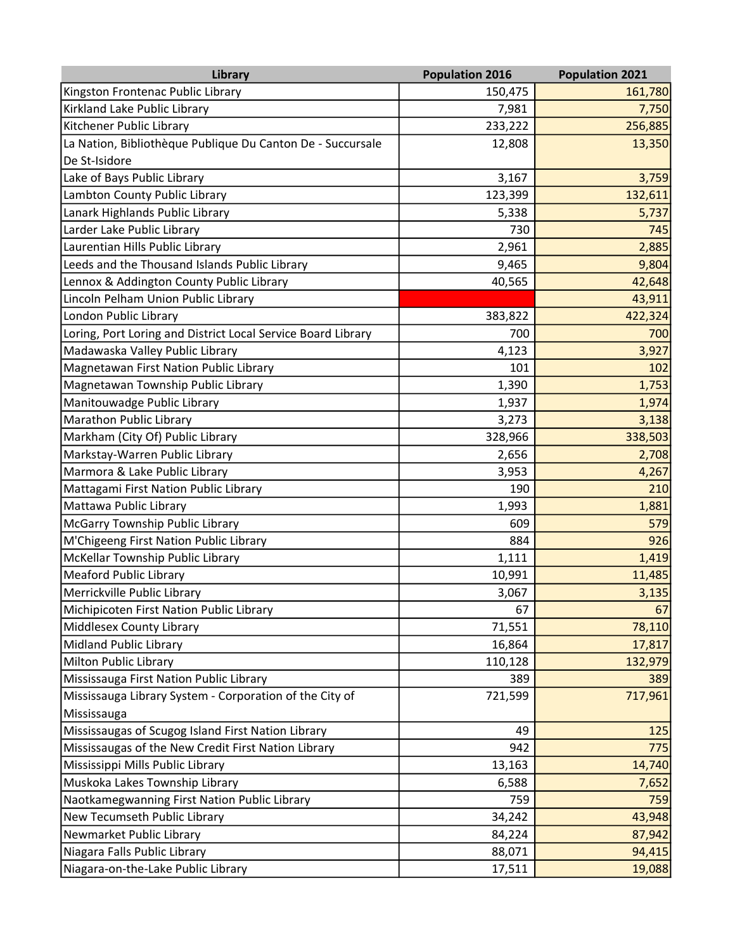| <b>Library</b>                                               | <b>Population 2016</b> | <b>Population 2021</b> |
|--------------------------------------------------------------|------------------------|------------------------|
| Kingston Frontenac Public Library                            | 150,475                | 161,780                |
| Kirkland Lake Public Library                                 | 7,981                  | 7,750                  |
| Kitchener Public Library                                     | 233,222                | 256,885                |
| La Nation, Bibliothèque Publique Du Canton De - Succursale   | 12,808                 | 13,350                 |
| De St-Isidore                                                |                        |                        |
| Lake of Bays Public Library                                  | 3,167                  | 3,759                  |
| Lambton County Public Library                                | 123,399                | 132,611                |
| Lanark Highlands Public Library                              | 5,338                  | 5,737                  |
| Larder Lake Public Library                                   | 730                    | 745                    |
| Laurentian Hills Public Library                              | 2,961                  | 2,885                  |
| Leeds and the Thousand Islands Public Library                | 9,465                  | 9,804                  |
| Lennox & Addington County Public Library                     | 40,565                 | 42,648                 |
| Lincoln Pelham Union Public Library                          |                        | 43,911                 |
| London Public Library                                        | 383,822                | 422,324                |
| Loring, Port Loring and District Local Service Board Library | 700                    | 700                    |
| Madawaska Valley Public Library                              | 4,123                  | 3,927                  |
| Magnetawan First Nation Public Library                       | 101                    | 102                    |
| Magnetawan Township Public Library                           | 1,390                  | 1,753                  |
| Manitouwadge Public Library                                  | 1,937                  | 1,974                  |
| Marathon Public Library                                      | 3,273                  | 3,138                  |
| Markham (City Of) Public Library                             | 328,966                | 338,503                |
| Markstay-Warren Public Library                               | 2,656                  | 2,708                  |
| Marmora & Lake Public Library                                | 3,953                  | 4,267                  |
| Mattagami First Nation Public Library                        | 190                    | 210                    |
| Mattawa Public Library                                       | 1,993                  | 1,881                  |
| McGarry Township Public Library                              | 609                    | 579                    |
| M'Chigeeng First Nation Public Library                       | 884                    | 926                    |
| McKellar Township Public Library                             | 1,111                  | 1,419                  |
| <b>Meaford Public Library</b>                                | 10,991                 | 11,485                 |
| Merrickville Public Library                                  | 3,067                  | 3,135                  |
| Michipicoten First Nation Public Library                     | 67                     | 67                     |
| Middlesex County Library                                     | 71,551                 | 78,110                 |
| Midland Public Library                                       | 16,864                 | 17,817                 |
| Milton Public Library                                        | 110,128                | 132,979                |
| Mississauga First Nation Public Library                      | 389                    | 389                    |
| Mississauga Library System - Corporation of the City of      | 721,599                | 717,961                |
| Mississauga                                                  |                        |                        |
| Mississaugas of Scugog Island First Nation Library           | 49                     | 125                    |
| Mississaugas of the New Credit First Nation Library          | 942                    | 775                    |
| Mississippi Mills Public Library                             | 13,163                 | 14,740                 |
| Muskoka Lakes Township Library                               | 6,588                  | 7,652                  |
| Naotkamegwanning First Nation Public Library                 | 759                    | 759                    |
| New Tecumseth Public Library                                 | 34,242                 | 43,948                 |
| Newmarket Public Library                                     | 84,224                 | 87,942                 |
| Niagara Falls Public Library                                 | 88,071                 | 94,415                 |
| Niagara-on-the-Lake Public Library                           | 17,511                 | 19,088                 |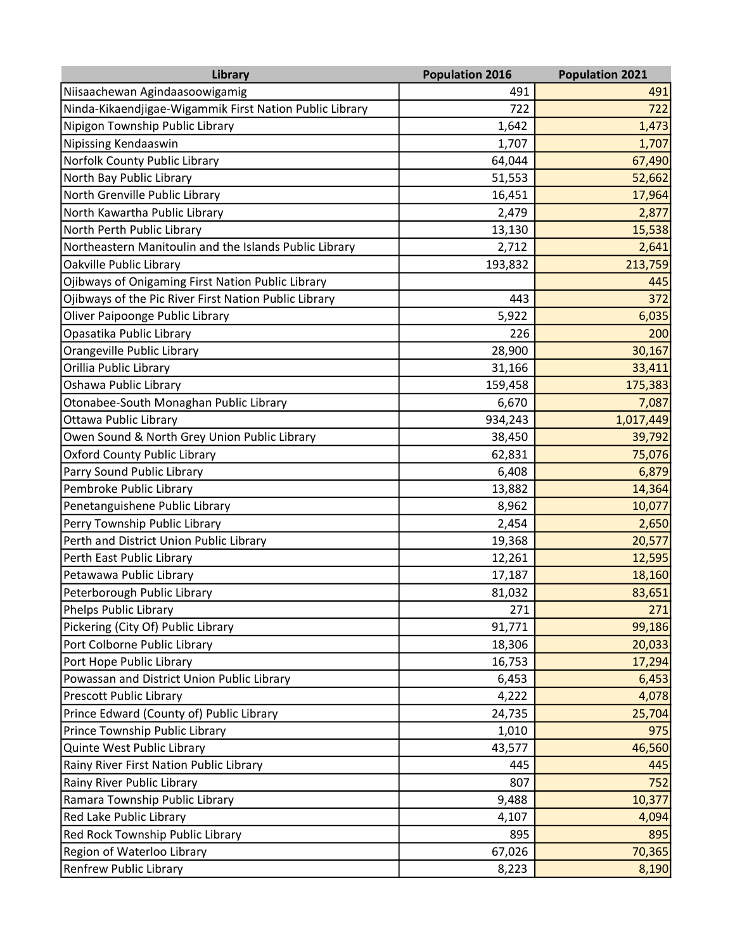| Library                                                 | <b>Population 2016</b> | <b>Population 2021</b> |
|---------------------------------------------------------|------------------------|------------------------|
| Niisaachewan Agindaasoowigamig                          | 491                    | 491                    |
| Ninda-Kikaendjigae-Wigammik First Nation Public Library | 722                    | 722                    |
| Nipigon Township Public Library                         | 1,642                  | 1,473                  |
| <b>Nipissing Kendaaswin</b>                             | 1,707                  | 1,707                  |
| Norfolk County Public Library                           | 64,044                 | 67,490                 |
| North Bay Public Library                                | 51,553                 | 52,662                 |
| North Grenville Public Library                          | 16,451                 | 17,964                 |
| North Kawartha Public Library                           | 2,479                  | 2,877                  |
| North Perth Public Library                              | 13,130                 | 15,538                 |
| Northeastern Manitoulin and the Islands Public Library  | 2,712                  | 2,641                  |
| Oakville Public Library                                 | 193,832                | 213,759                |
| Ojibways of Onigaming First Nation Public Library       |                        | 445                    |
| Ojibways of the Pic River First Nation Public Library   | 443                    | 372                    |
| Oliver Paipoonge Public Library                         | 5,922                  | 6,035                  |
| Opasatika Public Library                                | 226                    | 200                    |
| Orangeville Public Library                              | 28,900                 | 30,167                 |
| Orillia Public Library                                  | 31,166                 | 33,411                 |
| Oshawa Public Library                                   | 159,458                | 175,383                |
| Otonabee-South Monaghan Public Library                  | 6,670                  | 7,087                  |
| Ottawa Public Library                                   | 934,243                | 1,017,449              |
| Owen Sound & North Grey Union Public Library            | 38,450                 | 39,792                 |
| <b>Oxford County Public Library</b>                     | 62,831                 | 75,076                 |
| Parry Sound Public Library                              | 6,408                  | 6,879                  |
| Pembroke Public Library                                 | 13,882                 | 14,364                 |
| Penetanguishene Public Library                          | 8,962                  | 10,077                 |
| Perry Township Public Library                           | 2,454                  | 2,650                  |
| Perth and District Union Public Library                 | 19,368                 | 20,577                 |
| Perth East Public Library                               | 12,261                 | 12,595                 |
| Petawawa Public Library                                 | 17,187                 | 18,160                 |
| Peterborough Public Library                             | 81,032                 | 83,651                 |
| Phelps Public Library                                   | 271                    | 271                    |
| Pickering (City Of) Public Library                      | 91,771                 | 99,186                 |
| Port Colborne Public Library                            | 18,306                 | 20,033                 |
| Port Hope Public Library                                | 16,753                 | 17,294                 |
| Powassan and District Union Public Library              | 6,453                  | 6,453                  |
| Prescott Public Library                                 | 4,222                  | 4,078                  |
| Prince Edward (County of) Public Library                | 24,735                 | 25,704                 |
| Prince Township Public Library                          | 1,010                  | 975                    |
| Quinte West Public Library                              | 43,577                 | 46,560                 |
| Rainy River First Nation Public Library                 | 445                    | 445                    |
| Rainy River Public Library                              | 807                    | 752                    |
| Ramara Township Public Library                          | 9,488                  | 10,377                 |
| Red Lake Public Library                                 | 4,107                  | 4,094                  |
| Red Rock Township Public Library                        | 895                    | 895                    |
| Region of Waterloo Library                              | 67,026                 | 70,365                 |
| Renfrew Public Library                                  | 8,223                  | 8,190                  |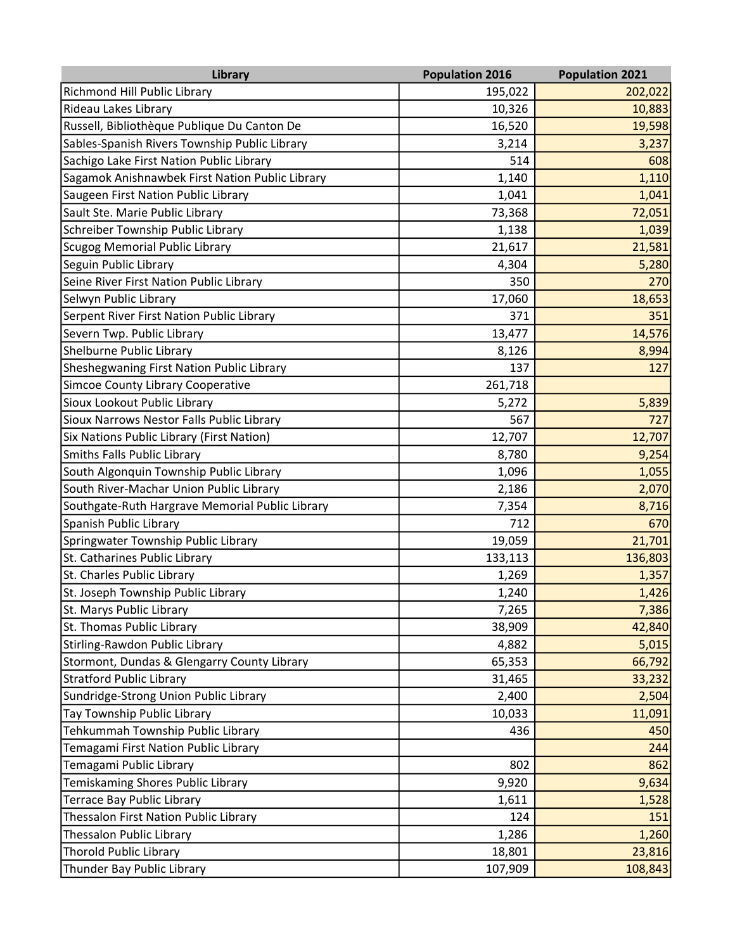| <b>Library</b>                                  | <b>Population 2016</b> | <b>Population 2021</b> |
|-------------------------------------------------|------------------------|------------------------|
| Richmond Hill Public Library                    | 195,022                | 202,022                |
| Rideau Lakes Library                            | 10,326                 | 10,883                 |
| Russell, Bibliothèque Publique Du Canton De     | 16,520                 | 19,598                 |
| Sables-Spanish Rivers Township Public Library   | 3,214                  | 3,237                  |
| Sachigo Lake First Nation Public Library        | 514                    | 608                    |
| Sagamok Anishnawbek First Nation Public Library | 1,140                  | 1,110                  |
| Saugeen First Nation Public Library             | 1,041                  | 1,041                  |
| Sault Ste. Marie Public Library                 | 73,368                 | 72,051                 |
| Schreiber Township Public Library               | 1,138                  | 1,039                  |
| <b>Scugog Memorial Public Library</b>           | 21,617                 | 21,581                 |
| Seguin Public Library                           | 4,304                  | 5,280                  |
| Seine River First Nation Public Library         | 350                    | 270                    |
| Selwyn Public Library                           | 17,060                 | 18,653                 |
| Serpent River First Nation Public Library       | 371                    | 351                    |
| Severn Twp. Public Library                      | 13,477                 | 14,576                 |
| Shelburne Public Library                        | 8,126                  | 8,994                  |
| Sheshegwaning First Nation Public Library       | 137                    | 127                    |
| Simcoe County Library Cooperative               | 261,718                |                        |
| Sioux Lookout Public Library                    | 5,272                  | 5,839                  |
| Sioux Narrows Nestor Falls Public Library       | 567                    | 727                    |
| Six Nations Public Library (First Nation)       | 12,707                 | 12,707                 |
| <b>Smiths Falls Public Library</b>              | 8,780                  | 9,254                  |
| South Algonquin Township Public Library         | 1,096                  | 1,055                  |
| South River-Machar Union Public Library         | 2,186                  | 2,070                  |
| Southgate-Ruth Hargrave Memorial Public Library | 7,354                  | 8,716                  |
| Spanish Public Library                          | 712                    | 670                    |
| Springwater Township Public Library             | 19,059                 | 21,701                 |
| St. Catharines Public Library                   | 133,113                | 136,803                |
| St. Charles Public Library                      | 1,269                  | 1,357                  |
| St. Joseph Township Public Library              | 1,240                  | 1,426                  |
| St. Marys Public Library                        | 7,265                  | 7,386                  |
| St. Thomas Public Library                       | 38,909                 | 42,840                 |
| Stirling-Rawdon Public Library                  | 4,882                  | 5,015                  |
| Stormont, Dundas & Glengarry County Library     | 65,353                 | 66,792                 |
| <b>Stratford Public Library</b>                 | 31,465                 | 33,232                 |
| Sundridge-Strong Union Public Library           | 2,400                  | 2,504                  |
| Tay Township Public Library                     | 10,033                 | 11,091                 |
| Tehkummah Township Public Library               | 436                    | 450                    |
| Temagami First Nation Public Library            |                        | 244                    |
| Temagami Public Library                         | 802                    | 862                    |
| Temiskaming Shores Public Library               | 9,920                  | 9,634                  |
| Terrace Bay Public Library                      | 1,611                  | 1,528                  |
| Thessalon First Nation Public Library           | 124                    | 151                    |
| Thessalon Public Library                        | 1,286                  | 1,260                  |
| <b>Thorold Public Library</b>                   | 18,801                 | 23,816                 |
| Thunder Bay Public Library                      | 107,909                | 108,843                |